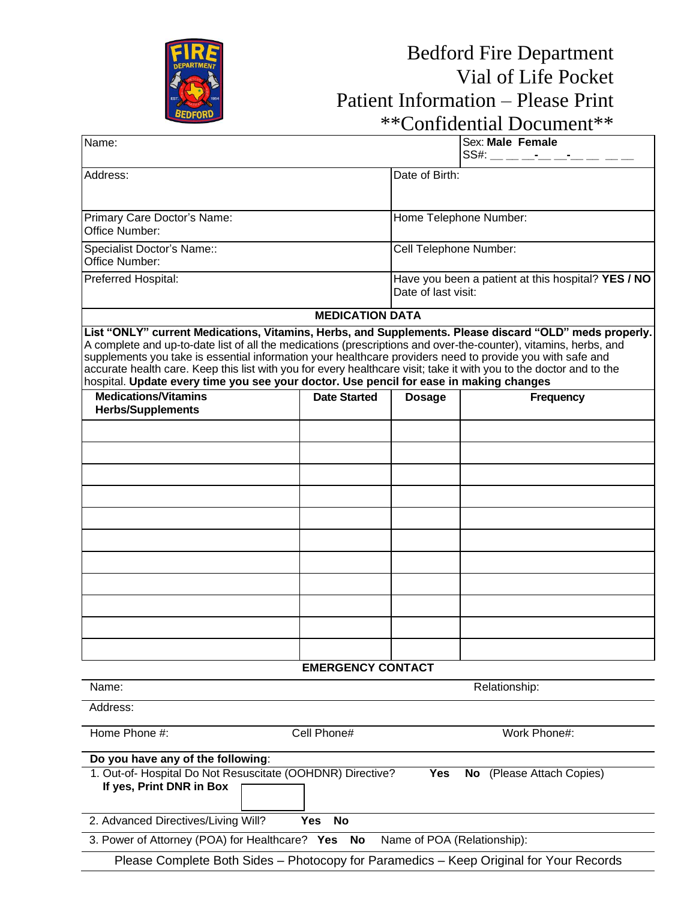

## Bedford Fire Department Vial of Life Pocket Patient Information – Please Print \*\*Confidential Document\*\*

|                                                                                                                                                                                                                                                                                                                                                                                                                                                                                                                                                          |                          |                                                                           | CUIIIUCHUAI DUCUIICHI                          |  |
|----------------------------------------------------------------------------------------------------------------------------------------------------------------------------------------------------------------------------------------------------------------------------------------------------------------------------------------------------------------------------------------------------------------------------------------------------------------------------------------------------------------------------------------------------------|--------------------------|---------------------------------------------------------------------------|------------------------------------------------|--|
| Name:                                                                                                                                                                                                                                                                                                                                                                                                                                                                                                                                                    |                          |                                                                           | Sex: Male Female<br>SS#: __ __ __-____-____ __ |  |
| Address:                                                                                                                                                                                                                                                                                                                                                                                                                                                                                                                                                 |                          | Date of Birth:                                                            |                                                |  |
| Primary Care Doctor's Name:<br>Office Number:                                                                                                                                                                                                                                                                                                                                                                                                                                                                                                            |                          | Home Telephone Number:                                                    |                                                |  |
| Specialist Doctor's Name::<br>Office Number:                                                                                                                                                                                                                                                                                                                                                                                                                                                                                                             |                          | Cell Telephone Number:                                                    |                                                |  |
| Preferred Hospital:                                                                                                                                                                                                                                                                                                                                                                                                                                                                                                                                      |                          | Have you been a patient at this hospital? YES / NO<br>Date of last visit: |                                                |  |
|                                                                                                                                                                                                                                                                                                                                                                                                                                                                                                                                                          | <b>MEDICATION DATA</b>   |                                                                           |                                                |  |
| List "ONLY" current Medications, Vitamins, Herbs, and Supplements. Please discard "OLD" meds properly.<br>A complete and up-to-date list of all the medications (prescriptions and over-the-counter), vitamins, herbs, and<br>supplements you take is essential information your healthcare providers need to provide you with safe and<br>accurate health care. Keep this list with you for every healthcare visit; take it with you to the doctor and to the<br>hospital. Update every time you see your doctor. Use pencil for ease in making changes |                          |                                                                           |                                                |  |
| <b>Medications/Vitamins</b><br><b>Herbs/Supplements</b>                                                                                                                                                                                                                                                                                                                                                                                                                                                                                                  | <b>Date Started</b>      | <b>Dosage</b>                                                             | <b>Frequency</b>                               |  |
|                                                                                                                                                                                                                                                                                                                                                                                                                                                                                                                                                          |                          |                                                                           |                                                |  |
|                                                                                                                                                                                                                                                                                                                                                                                                                                                                                                                                                          |                          |                                                                           |                                                |  |
|                                                                                                                                                                                                                                                                                                                                                                                                                                                                                                                                                          |                          |                                                                           |                                                |  |
|                                                                                                                                                                                                                                                                                                                                                                                                                                                                                                                                                          |                          |                                                                           |                                                |  |
|                                                                                                                                                                                                                                                                                                                                                                                                                                                                                                                                                          |                          |                                                                           |                                                |  |
|                                                                                                                                                                                                                                                                                                                                                                                                                                                                                                                                                          |                          |                                                                           |                                                |  |
|                                                                                                                                                                                                                                                                                                                                                                                                                                                                                                                                                          |                          |                                                                           |                                                |  |
|                                                                                                                                                                                                                                                                                                                                                                                                                                                                                                                                                          |                          |                                                                           |                                                |  |
|                                                                                                                                                                                                                                                                                                                                                                                                                                                                                                                                                          |                          |                                                                           |                                                |  |
|                                                                                                                                                                                                                                                                                                                                                                                                                                                                                                                                                          |                          |                                                                           |                                                |  |
|                                                                                                                                                                                                                                                                                                                                                                                                                                                                                                                                                          |                          |                                                                           |                                                |  |
|                                                                                                                                                                                                                                                                                                                                                                                                                                                                                                                                                          |                          |                                                                           |                                                |  |
|                                                                                                                                                                                                                                                                                                                                                                                                                                                                                                                                                          | <b>EMERGENCY CONTACT</b> |                                                                           |                                                |  |
| Name:                                                                                                                                                                                                                                                                                                                                                                                                                                                                                                                                                    |                          |                                                                           | Relationship:                                  |  |
| Address:                                                                                                                                                                                                                                                                                                                                                                                                                                                                                                                                                 |                          |                                                                           |                                                |  |
| Home Phone #:<br>Cell Phone#<br>Work Phone#:                                                                                                                                                                                                                                                                                                                                                                                                                                                                                                             |                          |                                                                           |                                                |  |
| Do you have any of the following:                                                                                                                                                                                                                                                                                                                                                                                                                                                                                                                        |                          |                                                                           |                                                |  |
| 1. Out-of- Hospital Do Not Resuscitate (OOHDNR) Directive?<br>If yes, Print DNR in Box                                                                                                                                                                                                                                                                                                                                                                                                                                                                   |                          | <b>Yes</b>                                                                | (Please Attach Copies)<br>No                   |  |
| 2. Advanced Directives/Living Will?                                                                                                                                                                                                                                                                                                                                                                                                                                                                                                                      | <b>No</b><br><b>Yes</b>  |                                                                           |                                                |  |
| 3. Power of Attorney (POA) for Healthcare? Yes No<br>Name of POA (Relationship):                                                                                                                                                                                                                                                                                                                                                                                                                                                                         |                          |                                                                           |                                                |  |
| Please Complete Both Sides - Photocopy for Paramedics - Keep Original for Your Records                                                                                                                                                                                                                                                                                                                                                                                                                                                                   |                          |                                                                           |                                                |  |
|                                                                                                                                                                                                                                                                                                                                                                                                                                                                                                                                                          |                          |                                                                           |                                                |  |